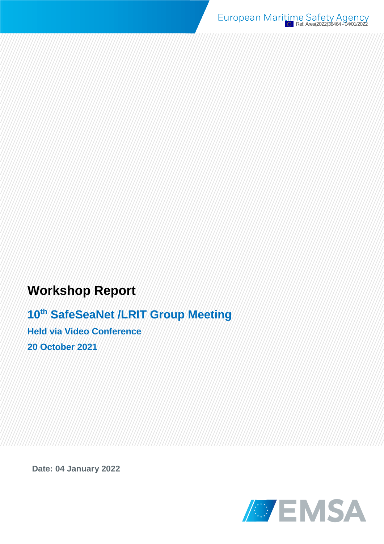European Maritime Safety Agency

# **Workshop Report**

**10th SafeSeaNet /LRIT Group Meeting Held via Video Conference 20 October 2021**

**Date: 04 January 2022**

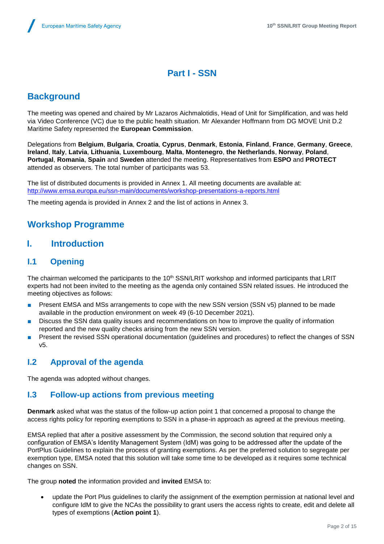# **Part I - SSN**

# **Background**

The meeting was opened and chaired by Mr Lazaros Aichmalotidis, Head of Unit for Simplification, and was held via Video Conference (VC) due to the public health situation. Mr Alexander Hoffmann from DG MOVE Unit D.2 Maritime Safety represented the **European Commission**.

Delegations from **Belgium**, **Bulgaria**, **Croatia**, **Cyprus**, **Denmark**, **Estonia**, **Finland**, **France**, **Germany**, **Greece**, **Ireland**, **Italy**, **Latvia**, **Lithuania**, **Luxembourg**, **Malta**, **Montenegro**, **the Netherlands**, **Norway**, **Poland**, **Portugal**, **Romania**, **Spain** and **Sweden** attended the meeting. Representatives from **ESPO** and **PROTECT** attended as observers. The total number of participants was 53.

The list of distributed documents is provided in Annex 1. All meeting documents are available at: <http://www.emsa.europa.eu/ssn-main/documents/workshop-presentations-a-reports.html>

The meeting agenda is provided in Annex 2 and the list of actions in Annex 3.

# **Workshop Programme**

### **I. Introduction**

### **I.1 Opening**

The chairman welcomed the participants to the  $10<sup>th</sup>$  SSN/LRIT workshop and informed participants that LRIT experts had not been invited to the meeting as the agenda only contained SSN related issues. He introduced the meeting objectives as follows:

- Present EMSA and MSs arrangements to cope with the new SSN version (SSN v5) planned to be made available in the production environment on week 49 (6-10 December 2021).
- Discuss the SSN data quality issues and recommendations on how to improve the quality of information reported and the new quality checks arising from the new SSN version.
- Present the revised SSN operational documentation (guidelines and procedures) to reflect the changes of SSN v5.

### **I.2 Approval of the agenda**

The agenda was adopted without changes.

### **I.3 Follow-up actions from previous meeting**

**Denmark** asked what was the status of the follow-up action point 1 that concerned a proposal to change the access rights policy for reporting exemptions to SSN in a phase-in approach as agreed at the previous meeting.

EMSA replied that after a positive assessment by the Commission, the second solution that required only a configuration of EMSA's Identity Management System (IdM) was going to be addressed after the update of the PortPlus Guidelines to explain the process of granting exemptions. As per the preferred solution to segregate per exemption type, EMSA noted that this solution will take some time to be developed as it requires some technical changes on SSN.

The group **noted** the information provided and **invited** EMSA to:

 update the Port Plus guidelines to clarify the assignment of the exemption permission at national level and configure IdM to give the NCAs the possibility to grant users the access rights to create, edit and delete all types of exemptions (**Action point 1**).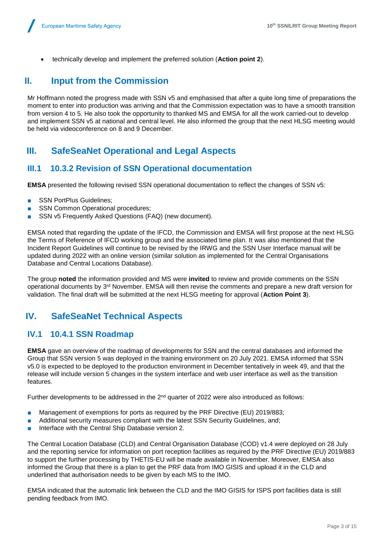technically develop and implement the preferred solution (**Action point 2**).

## **II. Input from the Commission**

Mr Hoffmann noted the progress made with SSN v5 and emphasised that after a quite long time of preparations the moment to enter into production was arriving and that the Commission expectation was to have a smooth transition from version 4 to 5. He also took the opportunity to thanked MS and EMSA for all the work carried-out to develop and implement SSN v5 at national and central level. He also informed the group that the next HLSG meeting would be held via videoconference on 8 and 9 December.

### **III. SafeSeaNet Operational and Legal Aspects**

### **III.1 10.3.2 Revision of SSN Operational documentation**

**EMSA** presented the following revised SSN operational documentation to reflect the changes of SSN v5:

- SSN PortPlus Guidelines;
- SSN Common Operational procedures;
- SSN v5 Frequently Asked Questions (FAQ) (new document).

EMSA noted that regarding the update of the IFCD, the Commission and EMSA will first propose at the next HLSG the Terms of Reference of IFCD working group and the associated time plan. It was also mentioned that the Incident Report Guidelines will continue to be revised by the IRWG and the SSN User Interface manual will be updated during 2022 with an online version (similar solution as implemented for the Central Organisations Database and Central Locations Database).

The group **noted** the information provided and MS were **invited** to review and provide comments on the SSN operational documents by 3rd November. EMSA will then revise the comments and prepare a new draft version for validation. The final draft will be submitted at the next HLSG meeting for approval (**Action Point 3**).

# **IV. SafeSeaNet Technical Aspects**

### **IV.1 10.4.1 SSN Roadmap**

**EMSA** gave an overview of the roadmap of developments for SSN and the central databases and informed the Group that SSN version 5 was deployed in the training environment on 20 July 2021. EMSA informed that SSN v5.0 is expected to be deployed to the production environment in December tentatively in week 49, and that the release will include version 5 changes in the system interface and web user interface as well as the transition features.

Further developments to be addressed in the  $2<sup>nd</sup>$  quarter of 2022 were also introduced as follows:

- Management of exemptions for ports as required by the PRF Directive (EU) 2019/883;
- Additional security measures compliant with the latest SSN Security Guidelines, and;
- Interface with the Central Ship Database version 2.

The Central Location Database (CLD) and Central Organisation Database (COD) v1.4 were deployed on 28 July and the reporting service for information on port reception facilities as required by the PRF Directive (EU) 2019/883 to support the further processing by THETIS-EU will be made available in November. Moreover, EMSA also informed the Group that there is a plan to get the PRF data from IMO GISIS and upload it in the CLD and underlined that authorisation needs to be given by each MS to the IMO.

EMSA indicated that the automatic link between the CLD and the IMO GISIS for ISPS port facilities data is still pending feedback from IMO.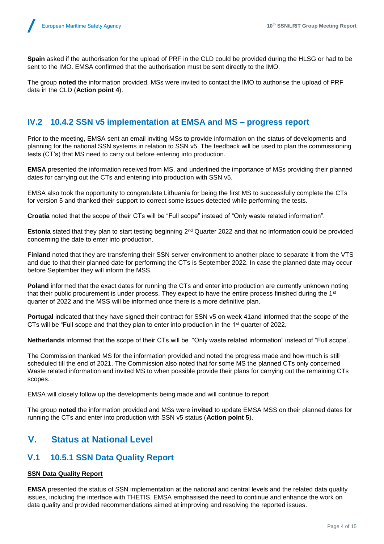**Spain** asked if the authorisation for the upload of PRF in the CLD could be provided during the HLSG or had to be sent to the IMO. EMSA confirmed that the authorisation must be sent directly to the IMO.

The group **noted** the information provided. MSs were invited to contact the IMO to authorise the upload of PRF data in the CLD (**Action point 4**).

### **IV.2 10.4.2 SSN v5 implementation at EMSA and MS – progress report**

Prior to the meeting, EMSA sent an email inviting MSs to provide information on the status of developments and planning for the national SSN systems in relation to SSN v5. The feedback will be used to plan the commissioning tests (CT's) that MS need to carry out before entering into production.

**EMSA** presented the information received from MS, and underlined the importance of MSs providing their planned dates for carrying out the CTs and entering into production with SSN v5.

EMSA also took the opportunity to congratulate Lithuania for being the first MS to successfully complete the CTs for version 5 and thanked their support to correct some issues detected while performing the tests.

**Croatia** noted that the scope of their CTs will be "Full scope" instead of "Only waste related information".

**Estonia** stated that they plan to start testing beginning 2<sup>nd</sup> Quarter 2022 and that no information could be provided concerning the date to enter into production.

**Finland** noted that they are transferring their SSN server environment to another place to separate it from the VTS and due to that their planned date for performing the CTs is September 2022. In case the planned date may occur before September they will inform the MSS.

**Poland** informed that the exact dates for running the CTs and enter into production are currently unknown noting that their public procurement is under process. They expect to have the entire process finished during the 1st quarter of 2022 and the MSS will be informed once there is a more definitive plan.

**Portugal** indicated that they have signed their contract for SSN v5 on week 41and informed that the scope of the CTs will be "Full scope and that they plan to enter into production in the 1st quarter of 2022.

**Netherlands** informed that the scope of their CTs will be "Only waste related information" instead of "Full scope".

The Commission thanked MS for the information provided and noted the progress made and how much is still scheduled till the end of 2021. The Commission also noted that for some MS the planned CTs only concerned Waste related information and invited MS to when possible provide their plans for carrying out the remaining CTs scopes.

EMSA will closely follow up the developments being made and will continue to report

The group **noted** the information provided and MSs were **invited** to update EMSA MSS on their planned dates for running the CTs and enter into production with SSN v5 status (**Action point 5**).

### **V. Status at National Level**

### **V.1 10.5.1 SSN Data Quality Report**

#### **SSN Data Quality Report**

**EMSA** presented the status of SSN implementation at the national and central levels and the related data quality issues, including the interface with THETIS. EMSA emphasised the need to continue and enhance the work on data quality and provided recommendations aimed at improving and resolving the reported issues.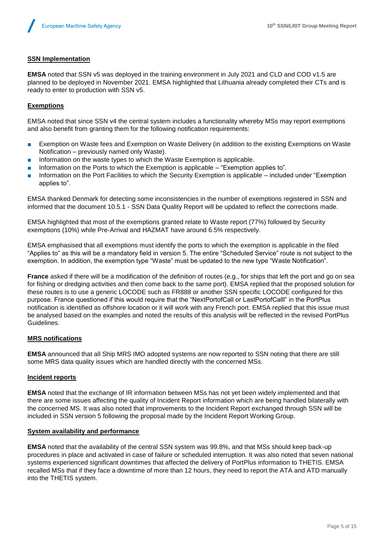#### **SSN Implementation**

**EMSA** noted that SSN v5 was deployed in the training environment in July 2021 and CLD and COD v1.5 are planned to be deployed in November 2021. EMSA highlighted that Lithuania already completed their CTs and is ready to enter to production with SSN v5.

#### **Exemptions**

EMSA noted that since SSN v4 the central system includes a functionality whereby MSs may report exemptions and also benefit from granting them for the following notification requirements:

- Exemption on Waste fees and Exemption on Waste Delivery (in addition to the existing Exemptions on Waste Notification – previously named only Waste).
- Information on the waste types to which the Waste Exemption is applicable.
- Information on the Ports to which the Exemption is applicable "Exemption applies to".
- Information on the Port Facilities to which the Security Exemption is applicable included under "Exemption applies to".

EMSA thanked Denmark for detecting some inconsistencies in the number of exemptions registered in SSN and informed that the document 10.5.1 - SSN Data Quality Report will be updated to reflect the corrections made.

EMSA highlighted that most of the exemptions granted relate to Waste report (77%) followed by Security exemptions (10%) while Pre-Arrival and HAZMAT have around 6.5% respectively.

EMSA emphasised that all exemptions must identify the ports to which the exemption is applicable in the filed "Applies to" as this will be a mandatory field in version 5. The entire "Scheduled Service" route is not subject to the exemption. In addition, the exemption type "Waste" must be updated to the new type "Waste Notification".

**France** asked if there will be a modification of the definition of routes (e.g., for ships that left the port and go on sea for fishing or dredging activities and then come back to the same port). EMSA replied that the proposed solution for these routes is to use a generic LOCODE such as FR888 or another SSN specific LOCODE configured for this purpose. France questioned if this would require that the "NextPortofCall or LastPortofCalll" in the PortPlus notification is identified as offshore location or it will work with any French port. EMSA replied that this issue must be analysed based on the examples and noted the results of this analysis will be reflected in the revised PortPlus Guidelines.

#### **MRS notifications**

**EMSA** announced that all Ship MRS IMO adopted systems are now reported to SSN noting that there are still some MRS data quality issues which are handled directly with the concerned MSs.

#### **Incident reports**

**EMSA** noted that the exchange of IR information between MSs has not yet been widely implemented and that there are some issues affecting the quality of Incident Report information which are being handled bilaterally with the concerned MS. It was also noted that improvements to the Incident Report exchanged through SSN will be included in SSN version 5 following the proposal made by the Incident Report Working Group.

#### **System availability and performance**

**EMSA** noted that the availability of the central SSN system was 99.8%, and that MSs should keep back-up procedures in place and activated in case of failure or scheduled interruption. It was also noted that seven national systems experienced significant downtimes that affected the delivery of PortPlus information to THETIS. EMSA recalled MSs that if they face a downtime of more than 12 hours, they need to report the ATA and ATD manually into the THETIS system.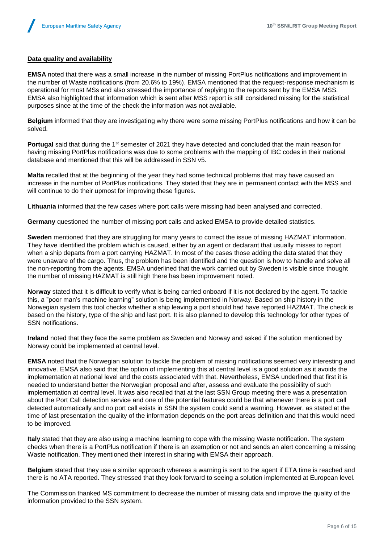#### **Data quality and availability**

**EMSA** noted that there was a small increase in the number of missing PortPlus notifications and improvement in the number of Waste notifications (from 20.6% to 19%). EMSA mentioned that the request-response mechanism is operational for most MSs and also stressed the importance of replying to the reports sent by the EMSA MSS. EMSA also highlighted that information which is sent after MSS report is still considered missing for the statistical purposes since at the time of the check the information was not available.

**Belgium** informed that they are investigating why there were some missing PortPlus notifications and how it can be solved.

**Portugal** said that during the 1<sup>st</sup> semester of 2021 they have detected and concluded that the main reason for having missing PortPlus notifications was due to some problems with the mapping of IBC codes in their national database and mentioned that this will be addressed in SSN v5.

**Malta** recalled that at the beginning of the year they had some technical problems that may have caused an increase in the number of PortPlus notifications. They stated that they are in permanent contact with the MSS and will continue to do their upmost for improving these figures.

**Lithuania** informed that the few cases where port calls were missing had been analysed and corrected.

**Germany** questioned the number of missing port calls and asked EMSA to provide detailed statistics.

**Sweden** mentioned that they are struggling for many years to correct the issue of missing HAZMAT information. They have identified the problem which is caused, either by an agent or declarant that usually misses to report when a ship departs from a port carrying HAZMAT. In most of the cases those adding the data stated that they were unaware of the cargo. Thus, the problem has been identified and the question is how to handle and solve all the non-reporting from the agents. EMSA underlined that the work carried out by Sweden is visible since thought the number of missing HAZMAT is still high there has been improvement noted.

**Norway** stated that it is difficult to verify what is being carried onboard if it is not declared by the agent. To tackle this, a "poor man's machine learning" solution is being implemented in Norway. Based on ship history in the Norwegian system this tool checks whether a ship leaving a port should had have reported HAZMAT. The check is based on the history, type of the ship and last port. It is also planned to develop this technology for other types of SSN notifications.

**Ireland** noted that they face the same problem as Sweden and Norway and asked if the solution mentioned by Norway could be implemented at central level.

**EMSA** noted that the Norwegian solution to tackle the problem of missing notifications seemed very interesting and innovative. EMSA also said that the option of implementing this at central level is a good solution as it avoids the implementation at national level and the costs associated with that. Nevertheless, EMSA underlined that first it is needed to understand better the Norwegian proposal and after, assess and evaluate the possibility of such implementation at central level. It was also recalled that at the last SSN Group meeting there was a presentation about the Port Call detection service and one of the potential features could be that whenever there is a port call detected automatically and no port call exists in SSN the system could send a warning. However, as stated at the time of last presentation the quality of the information depends on the port areas definition and that this would need to be improved.

**Italy** stated that they are also using a machine learning to cope with the missing Waste notification. The system checks when there is a PortPlus notification if there is an exemption or not and sends an alert concerning a missing Waste notification. They mentioned their interest in sharing with EMSA their approach.

**Belgium** stated that they use a similar approach whereas a warning is sent to the agent if ETA time is reached and there is no ATA reported. They stressed that they look forward to seeing a solution implemented at European level.

The Commission thanked MS commitment to decrease the number of missing data and improve the quality of the information provided to the SSN system.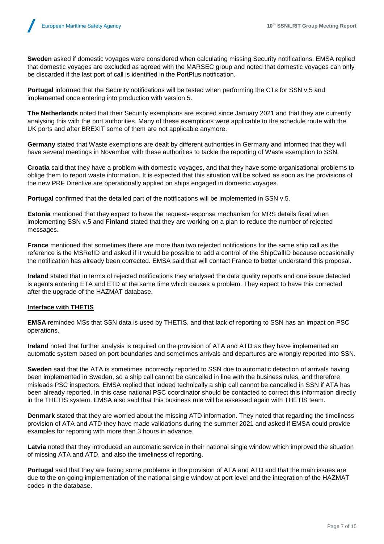**Sweden** asked if domestic voyages were considered when calculating missing Security notifications. EMSA replied that domestic voyages are excluded as agreed with the MARSEC group and noted that domestic voyages can only be discarded if the last port of call is identified in the PortPlus notification.

**Portugal** informed that the Security notifications will be tested when performing the CTs for SSN v.5 and implemented once entering into production with version 5.

**The Netherlands** noted that their Security exemptions are expired since January 2021 and that they are currently analysing this with the port authorities. Many of these exemptions were applicable to the schedule route with the UK ports and after BREXIT some of them are not applicable anymore.

**Germany** stated that Waste exemptions are dealt by different authorities in Germany and informed that they will have several meetings in November with these authorities to tackle the reporting of Waste exemption to SSN.

**Croatia** said that they have a problem with domestic voyages, and that they have some organisational problems to oblige them to report waste information. It is expected that this situation will be solved as soon as the provisions of the new PRF Directive are operationally applied on ships engaged in domestic voyages.

**Portugal** confirmed that the detailed part of the notifications will be implemented in SSN v.5.

**Estonia** mentioned that they expect to have the request-response mechanism for MRS details fixed when implementing SSN v.5 and **Finland** stated that they are working on a plan to reduce the number of rejected messages.

**France** mentioned that sometimes there are more than two rejected notifications for the same ship call as the reference is the MSRefID and asked if it would be possible to add a control of the ShipCallID because occasionally the notification has already been corrected. EMSA said that will contact France to better understand this proposal.

**Ireland** stated that in terms of rejected notifications they analysed the data quality reports and one issue detected is agents entering ETA and ETD at the same time which causes a problem. They expect to have this corrected after the upgrade of the HAZMAT database.

#### **Interface with THETIS**

**EMSA** reminded MSs that SSN data is used by THETIS, and that lack of reporting to SSN has an impact on PSC operations.

**Ireland** noted that further analysis is required on the provision of ATA and ATD as they have implemented an automatic system based on port boundaries and sometimes arrivals and departures are wrongly reported into SSN.

**Sweden** said that the ATA is sometimes incorrectly reported to SSN due to automatic detection of arrivals having been implemented in Sweden, so a ship call cannot be cancelled in line with the business rules, and therefore misleads PSC inspectors. EMSA replied that indeed technically a ship call cannot be cancelled in SSN if ATA has been already reported. In this case national PSC coordinator should be contacted to correct this information directly in the THETIS system. EMSA also said that this business rule will be assessed again with THETIS team.

**Denmark** stated that they are worried about the missing ATD information. They noted that regarding the timeliness provision of ATA and ATD they have made validations during the summer 2021 and asked if EMSA could provide examples for reporting with more than 3 hours in advance.

**Latvia** noted that they introduced an automatic service in their national single window which improved the situation of missing ATA and ATD, and also the timeliness of reporting.

**Portugal** said that they are facing some problems in the provision of ATA and ATD and that the main issues are due to the on-going implementation of the national single window at port level and the integration of the HAZMAT codes in the database.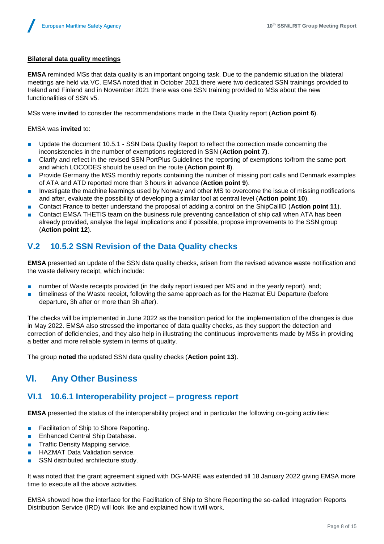#### **Bilateral data quality meetings**

**EMSA** reminded MSs that data quality is an important ongoing task. Due to the pandemic situation the bilateral meetings are held via VC. EMSA noted that in October 2021 there were two dedicated SSN trainings provided to Ireland and Finland and in November 2021 there was one SSN training provided to MSs about the new functionalities of SSN v5.

MSs were **invited** to consider the recommendations made in the Data Quality report (**Action point 6**).

EMSA was **invited** to:

- Update the document 10.5.1 SSN Data Quality Report to reflect the correction made concerning the inconsistencies in the number of exemptions registered in SSN (**Action point 7)**.
- Clarify and reflect in the revised SSN PortPlus Guidelines the reporting of exemptions to/from the same port and which LOCODES should be used on the route (**Action point 8**).
- Provide Germany the MSS monthly reports containing the number of missing port calls and Denmark examples of ATA and ATD reported more than 3 hours in advance (**Action point 9**).
- Investigate the machine learnings used by Norway and other MS to overcome the issue of missing notifications and after, evaluate the possibility of developing a similar tool at central level (**Action point 10**).
- Contact France to better understand the proposal of adding a control on the ShipCallID (**Action point 11**).
- Contact EMSA THETIS team on the business rule preventing cancellation of ship call when ATA has been already provided, analyse the legal implications and if possible, propose improvements to the SSN group (**Action point 12**).

### **V.2 10.5.2 SSN Revision of the Data Quality checks**

**EMSA** presented an update of the SSN data quality checks, arisen from the revised advance waste notification and the waste delivery receipt, which include:

- number of Waste receipts provided (in the daily report issued per MS and in the yearly report), and;
- timeliness of the Waste receipt, following the same approach as for the Hazmat EU Departure (before departure, 3h after or more than 3h after).

The checks will be implemented in June 2022 as the transition period for the implementation of the changes is due in May 2022. EMSA also stressed the importance of data quality checks, as they support the detection and correction of deficiencies, and they also help in illustrating the continuous improvements made by MSs in providing a better and more reliable system in terms of quality.

The group **noted** the updated SSN data quality checks (**Action point 13**).

### **VI. Any Other Business**

### **VI.1 10.6.1 Interoperability project – progress report**

**EMSA** presented the status of the interoperability project and in particular the following on-going activities:

- Facilitation of Ship to Shore Reporting.
- Enhanced Central Ship Database.
- Traffic Density Mapping service.
- HAZMAT Data Validation service.
- SSN distributed architecture study.

It was noted that the grant agreement signed with DG-MARE was extended till 18 January 2022 giving EMSA more time to execute all the above activities.

EMSA showed how the interface for the Facilitation of Ship to Shore Reporting the so-called Integration Reports Distribution Service (IRD) will look like and explained how it will work.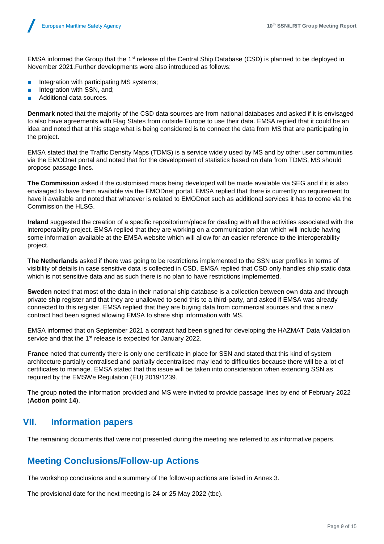EMSA informed the Group that the 1st release of the Central Ship Database (CSD) is planned to be deployed in November 2021.Further developments were also introduced as follows:

- Integration with participating MS systems;
- Integration with SSN, and;
- Additional data sources.

**Denmark** noted that the majority of the CSD data sources are from national databases and asked if it is envisaged to also have agreements with Flag States from outside Europe to use their data. EMSA replied that it could be an idea and noted that at this stage what is being considered is to connect the data from MS that are participating in the project.

EMSA stated that the Traffic Density Maps (TDMS) is a service widely used by MS and by other user communities via the EMODnet portal and noted that for the development of statistics based on data from TDMS, MS should propose passage lines.

**The Commission** asked if the customised maps being developed will be made available via SEG and if it is also envisaged to have them available via the EMODnet portal. EMSA replied that there is currently no requirement to have it available and noted that whatever is related to EMODnet such as additional services it has to come via the Commission the HLSG.

**Ireland** suggested the creation of a specific repositorium/place for dealing with all the activities associated with the interoperability project. EMSA replied that they are working on a communication plan which will include having some information available at the EMSA website which will allow for an easier reference to the interoperability project.

**The Netherlands** asked if there was going to be restrictions implemented to the SSN user profiles in terms of visibility of details in case sensitive data is collected in CSD. EMSA replied that CSD only handles ship static data which is not sensitive data and as such there is no plan to have restrictions implemented.

**Sweden** noted that most of the data in their national ship database is a collection between own data and through private ship register and that they are unallowed to send this to a third-party, and asked if EMSA was already connected to this register. EMSA replied that they are buying data from commercial sources and that a new contract had been signed allowing EMSA to share ship information with MS.

EMSA informed that on September 2021 a contract had been signed for developing the HAZMAT Data Validation service and that the 1<sup>st</sup> release is expected for January 2022.

**France** noted that currently there is only one certificate in place for SSN and stated that this kind of system architecture partially centralised and partially decentralised may lead to difficulties because there will be a lot of certificates to manage. EMSA stated that this issue will be taken into consideration when extending SSN as required by the EMSWe Regulation (EU) 2019/1239.

The group **noted** the information provided and MS were invited to provide passage lines by end of February 2022 (**Action point 14**).

### **VII. Information papers**

The remaining documents that were not presented during the meeting are referred to as informative papers.

### **Meeting Conclusions/Follow-up Actions**

The workshop conclusions and a summary of the follow-up actions are listed in Annex 3.

The provisional date for the next meeting is 24 or 25 May 2022 (tbc).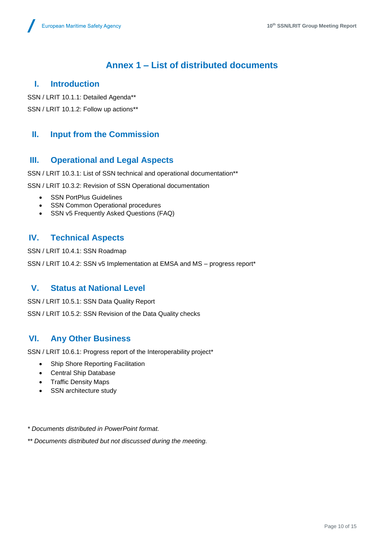# **Annex 1 – List of distributed documents**

### **I. Introduction**

SSN / LRIT 10.1.1: Detailed Agenda\*\*

SSN / LRIT 10.1.2: Follow up actions\*\*

### **II. Input from the Commission**

### **III. Operational and Legal Aspects**

SSN / LRIT 10.3.1: List of SSN technical and operational documentation\*\*

SSN / LRIT 10.3.2: Revision of SSN Operational documentation

- SSN PortPlus Guidelines
- SSN Common Operational procedures
- SSN v5 Frequently Asked Questions (FAQ)

### **IV. Technical Aspects**

SSN / LRIT 10.4.1: SSN Roadmap

SSN / LRIT 10.4.2: SSN v5 Implementation at EMSA and MS - progress report\*

### **V. Status at National Level**

SSN / LRIT 10.5.1: SSN Data Quality Report SSN / LRIT 10.5.2: SSN Revision of the Data Quality checks

### **VI. Any Other Business**

SSN / LRIT 10.6.1: Progress report of the Interoperability project\*

- Ship Shore Reporting Facilitation
- Central Ship Database
- Traffic Density Maps
- SSN architecture study

#### *\* Documents distributed in PowerPoint format.*

*\*\* Documents distributed but not discussed during the meeting.*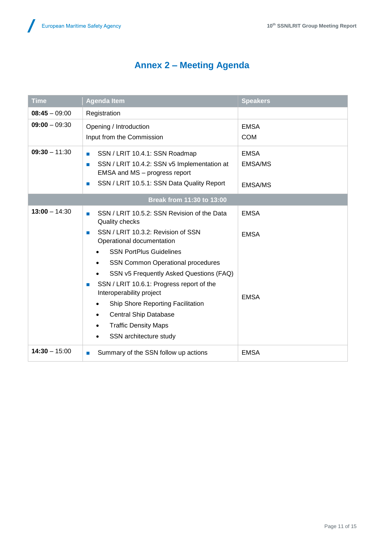# **Annex 2 – Meeting Agenda**

| <b>Time</b>               | <b>Agenda Item</b>                                                                                                                                                                                                                                                                                                                                                    | <b>Speakers</b>                                 |  |  |
|---------------------------|-----------------------------------------------------------------------------------------------------------------------------------------------------------------------------------------------------------------------------------------------------------------------------------------------------------------------------------------------------------------------|-------------------------------------------------|--|--|
| $08:45 - 09:00$           | Registration                                                                                                                                                                                                                                                                                                                                                          |                                                 |  |  |
| $09:00 - 09:30$           | Opening / Introduction<br>Input from the Commission                                                                                                                                                                                                                                                                                                                   | <b>EMSA</b><br><b>COM</b>                       |  |  |
| $09:30 - 11:30$           | SSN / LRIT 10.4.1: SSN Roadmap<br>$\mathcal{L}$<br>SSN / LRIT 10.4.2: SSN v5 Implementation at<br>П<br>EMSA and MS - progress report<br>SSN / LRIT 10.5.1: SSN Data Quality Report<br>$\mathcal{A}$                                                                                                                                                                   | <b>EMSA</b><br><b>EMSA/MS</b><br><b>EMSA/MS</b> |  |  |
| Break from 11:30 to 13:00 |                                                                                                                                                                                                                                                                                                                                                                       |                                                 |  |  |
| $13:00 - 14:30$           | SSN / LRIT 10.5.2: SSN Revision of the Data<br>П<br><b>Quality checks</b><br>SSN / LRIT 10.3.2: Revision of SSN<br><b>III</b>                                                                                                                                                                                                                                         | <b>EMSA</b><br><b>EMSA</b>                      |  |  |
|                           | Operational documentation<br><b>SSN PortPlus Guidelines</b><br>SSN Common Operational procedures<br>SSN v5 Frequently Asked Questions (FAQ)<br>SSN / LRIT 10.6.1: Progress report of the<br>T.<br>Interoperability project<br>Ship Shore Reporting Facilitation<br><b>Central Ship Database</b><br>$\bullet$<br><b>Traffic Density Maps</b><br>SSN architecture study | <b>EMSA</b>                                     |  |  |
| $14:30 - 15:00$           | Summary of the SSN follow up actions<br>П                                                                                                                                                                                                                                                                                                                             | <b>EMSA</b>                                     |  |  |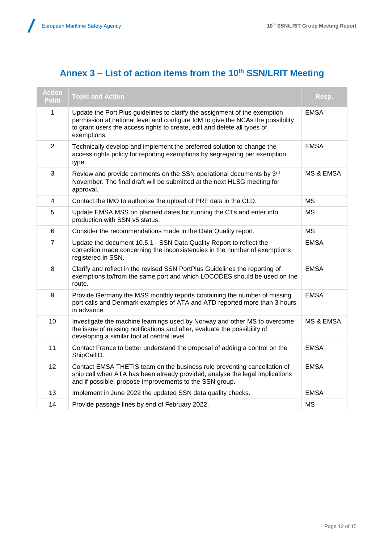Z

# **Annex 3 – List of action items from the 10th SSN/LRIT Meeting**

| <b>Action</b><br><b>Point</b> | <b>Topic and Action</b>                                                                                                                                                                                                                                  | Resp.                |
|-------------------------------|----------------------------------------------------------------------------------------------------------------------------------------------------------------------------------------------------------------------------------------------------------|----------------------|
| 1                             | Update the Port Plus guidelines to clarify the assignment of the exemption<br>permission at national level and configure IdM to give the NCAs the possibility<br>to grant users the access rights to create, edit and delete all types of<br>exemptions. | <b>EMSA</b>          |
| $\overline{2}$                | Technically develop and implement the preferred solution to change the<br>access rights policy for reporting exemptions by segregating per exemption<br>type.                                                                                            | <b>EMSA</b>          |
| 3                             | Review and provide comments on the SSN operational documents by 3rd<br>November. The final draft will be submitted at the next HLSG meeting for<br>approval.                                                                                             | <b>MS &amp; EMSA</b> |
| 4                             | Contact the IMO to authorise the upload of PRF data in the CLD.                                                                                                                                                                                          | <b>MS</b>            |
| 5                             | Update EMSA MSS on planned dates for running the CTs and enter into<br>production with SSN v5 status.                                                                                                                                                    | <b>MS</b>            |
| 6                             | Consider the recommendations made in the Data Quality report.                                                                                                                                                                                            | MS.                  |
| $\overline{7}$                | Update the document 10.5.1 - SSN Data Quality Report to reflect the<br>correction made concerning the inconsistencies in the number of exemptions<br>registered in SSN.                                                                                  | <b>EMSA</b>          |
| 8                             | Clarify and reflect in the revised SSN PortPlus Guidelines the reporting of<br>exemptions to/from the same port and which LOCODES should be used on the<br>route.                                                                                        | <b>EMSA</b>          |
| 9                             | Provide Germany the MSS monthly reports containing the number of missing<br>port calls and Denmark examples of ATA and ATD reported more than 3 hours<br>in advance.                                                                                     | <b>EMSA</b>          |
| 10                            | Investigate the machine learnings used by Norway and other MS to overcome<br>the issue of missing notifications and after, evaluate the possibility of<br>developing a similar tool at central level.                                                    | <b>MS &amp; EMSA</b> |
| 11                            | Contact France to better understand the proposal of adding a control on the<br>ShipCallID.                                                                                                                                                               | <b>EMSA</b>          |
| 12                            | Contact EMSA THETIS team on the business rule preventing cancellation of<br>ship call when ATA has been already provided, analyse the legal implications<br>and if possible, propose improvements to the SSN group.                                      | <b>EMSA</b>          |
| 13                            | Implement in June 2022 the updated SSN data quality checks.                                                                                                                                                                                              | <b>EMSA</b>          |
| 14                            | Provide passage lines by end of February 2022.                                                                                                                                                                                                           | <b>MS</b>            |